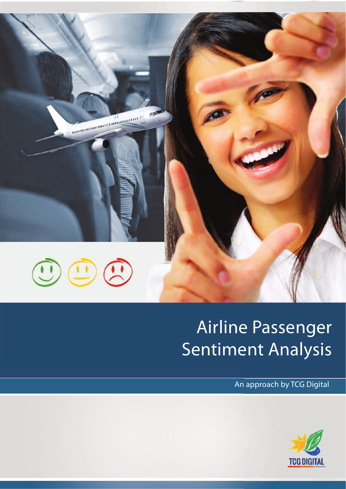

# Airline Passenger Sentiment Analysis

An approach by TCG Digital

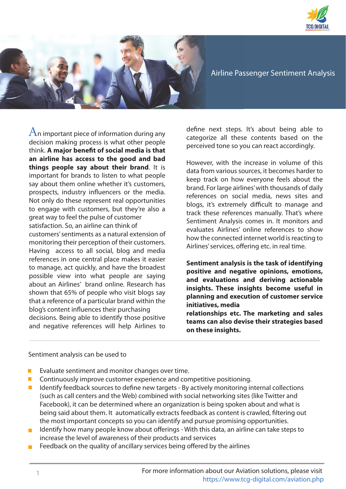



Airline Passenger Sentiment Analysis

 $A$ n important piece of information during any decision making process is what other people think. **A major benefit of social media is that an airline has access to the good and bad things people say about their brand**. It is important for brands to listen to what people say about them online whether it's customers, prospects, industry influencers or the media. Not only do these represent real opportunities to engage with customers, but they're also a great way to feel the pulse of customer satisfaction. So, an airline can think of customers' sentiments as a natural extension of monitoring their perception of their customers. Having access to all social, blog and media references in one central place makes it easier to manage, act quickly, and have the broadest possible view into what people are saying about an Airlines' brand online. Research has shown that 65% of people who visit blogs say that a reference of a particular brand within the blog's content influences their purchasing decisions. Being able to identify those positive and negative references will help Airlines to

define next steps. It's about being able to categorize all these contents based on the perceived tone so you can react accordingly.

However, with the increase in volume of this data from various sources, it becomes harder to keep track on how everyone feels about the brand. For large airlines' with thousands of daily references on social media, news sites and blogs, it's extremely difficult to manage and track these references manually. That's where Sentiment Analysis comes in. It monitors and evaluates Airlines' online references to show how the connected internet world is reacting to Airlines' services, offering etc. in real time.

**Sentiment analysis is the task of identifying positive and negative opinions, emotions, and evaluations and deriving actionable insights. These insights become useful in planning and execution of customer service initiatives, media** 

**relationships etc. The marketing and sales teams can also devise their strategies based on these insights.**

#### Sentiment analysis can be used to

- **EVALUATE:** Evaluate sentiment and monitor changes over time.
- **E** Continuously improve customer experience and competitive positioning.
- $\blacksquare$  Identify feedback sources to define new targets By actively monitoring internal collections (such as call centers and the Web) combined with social networking sites (like Twitter and Facebook), it can be determined where an organization is being spoken about and what is being said about them. It automatically extracts feedback as content is crawled, filtering out the most important concepts so you can identify and pursue promising opportunities.
- Identify how many people know about offerings With this data, an airline can take steps to increase the level of awareness of their products and services
- $\blacksquare$  Feedback on the quality of ancillary services being offered by the airlines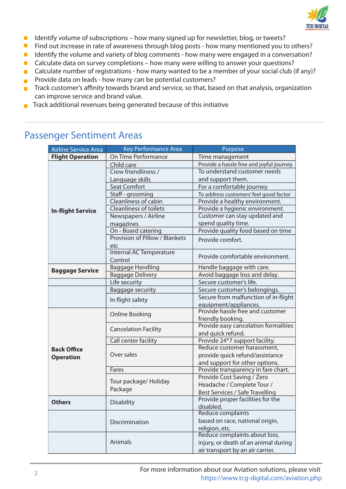

- I Identify volume of subscriptions how many signed up for newsletter, blog, or tweets?
- **Find out increase in rate of awareness through blog posts how many mentioned you to others?**
- I Identify the volume and variety of blog comments how many were engaged in a conversation?
- $\blacksquare$  Calculate data on survey completions how many were willing to answer your questions?
- Calculate number of registrations how many wanted to be a member of your social club (if any)?
- **Provide data on leads how many can be potential customers?**
- $\blacksquare$  Track customer's affinity towards brand and service, so that, based on that analysis, organization can improve service and brand value.
- $\blacksquare$  Track additional revenues being generated because of this initiative

### Passenger Sentiment Areas

| <b>Airline Service Area</b>            | <b>Key Performance Area</b>      | Purpose                                  |
|----------------------------------------|----------------------------------|------------------------------------------|
| <b>Flight Operation</b>                | On Time Performance              | Time management                          |
| <b>In-flight Service</b>               | Child care                       | Provide a hassle free and joyful journey |
|                                        | Crew friendliness /              | To understand customer needs             |
|                                        | Language skills                  | and support them.                        |
|                                        | <b>Seat Comfort</b>              | For a comfortable journey.               |
|                                        | Staff - grooming                 | To address customers' feel good factor   |
|                                        | Cleanliness of cabin             | Provide a healthy environment.           |
|                                        | <b>Cleanliness of toilets</b>    | Provide a hygienic environment.          |
|                                        | Newspapers / Airline             | Customer can stay updated and            |
|                                        | magazines                        | spend quality time.                      |
|                                        | On - Board catering              | Provide quality food based on time       |
|                                        | Provision of Pillow / Blankets   | Provide comfort.                         |
|                                        | etc                              |                                          |
|                                        | <b>Internal AC Temperature</b>   | Provide comfortable environment.         |
|                                        | Control                          |                                          |
| <b>Baggage Service</b>                 | <b>Baggage Handling</b>          | Handle baggage with care.                |
|                                        | <b>Baggage Delivery</b>          | Avoid baggage loss and delay.            |
|                                        | Life security                    | Secure customer's life.                  |
|                                        | <b>Baggage security</b>          | Secure customer's belongings.            |
|                                        | In flight safety                 | Secure from malfunction of in-flight     |
|                                        |                                  | equipment/appliances.                    |
| <b>Back Office</b><br><b>Operation</b> | <b>Online Booking</b>            | Provide hassle free and customer         |
|                                        |                                  | friendly booking.                        |
|                                        | <b>Cancelation Facility</b>      | Provide easy cancelation formalities     |
|                                        |                                  | and quick refund.                        |
|                                        | Call center facility             | Provide 24*7 support facility.           |
|                                        | Over sales                       | Reduce customer harassment,              |
|                                        |                                  | provide quick refund/assistance          |
|                                        |                                  | and support for other options.           |
|                                        | Fares                            | Provide transparency in fare chart.      |
|                                        | Tour package/ Holiday<br>Package | Provide Cost Saving / Zero               |
|                                        |                                  | Headache / Complete Tour /               |
|                                        |                                  | Best Services / Safe Travelling          |
| <b>Others</b>                          | <b>Disability</b>                | Provide proper facilities for the        |
|                                        |                                  | disabled.                                |
|                                        | Discrimination<br>Animals        | <b>Reduce complaints</b>                 |
|                                        |                                  | based on race, national origin,          |
|                                        |                                  | religion, etc.                           |
|                                        |                                  | Reduce complaints about loss,            |
|                                        |                                  | injury, or death of an animal during     |
|                                        |                                  | air transport by an air carrier.         |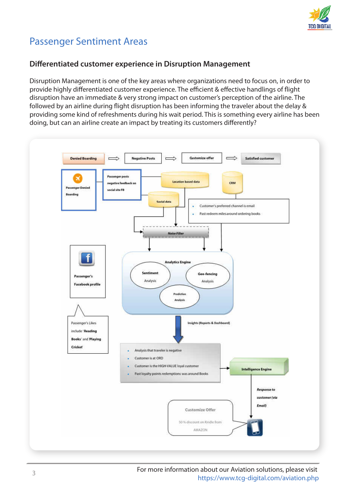

## Passenger Sentiment Areas

#### **Differentiated customer experience in Disruption Management**

Disruption Management is one of the key areas where organizations need to focus on, in order to provide highly differentiated customer experience. The efficient & effective handlings of flight disruption have an immediate & very strong impact on customer's perception of the airline. The followed by an airline during flight disruption has been informing the traveler about the delay & providing some kind of refreshments during his wait period. This is something every airline has been doing, but can an airline create an impact by treating its customers differently?



For more information about our Aviation solutions, please visit https://www.tcg-digital.com/aviation.php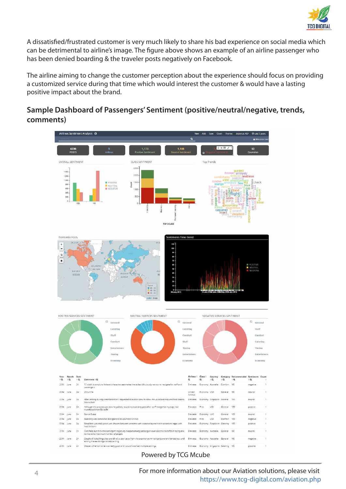

A dissatisfied/frustrated customer is very much likely to share his bad experience on social media which can be detrimental to airline's image. The figure above shows an example of an airline passenger who has been denied boarding & the traveler posts negatively on Facebook.

The airline aiming to change the customer perception about the experience should focus on providing a customized service during that time which would interest the customer & would have a lasting positive impact about the brand.

### **Sample Dashboard of Passengers' Sentiment (positive/neutral/negative, trends, comments)**